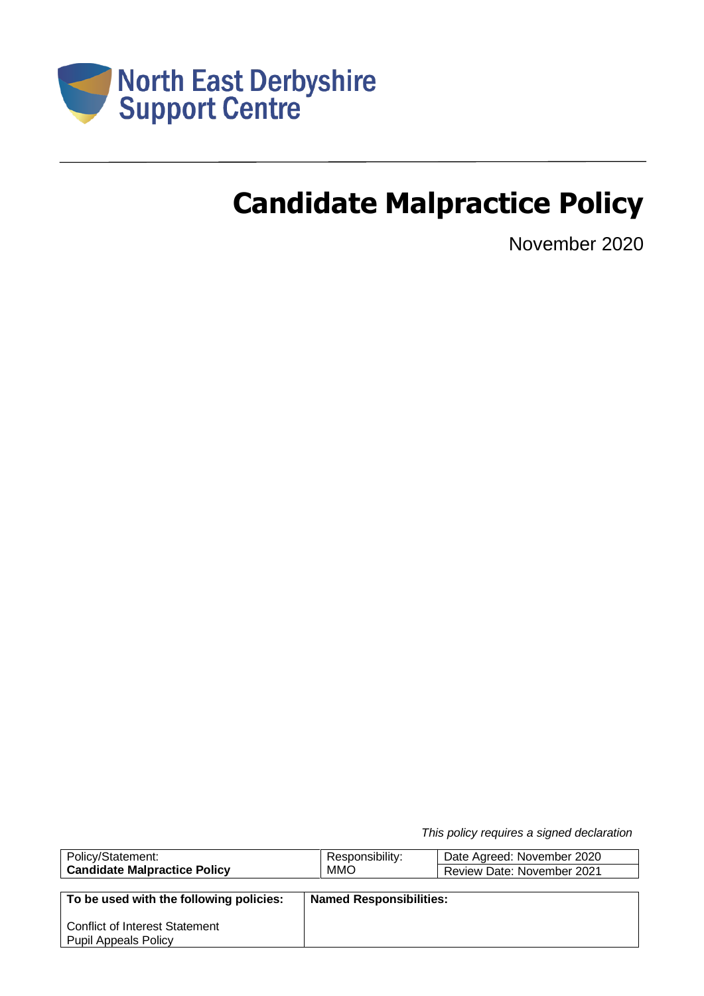

# **Candidate Malpractice Policy**

November 2020

*This policy requires a signed declaration*

| Policy/Statement:                       | Responsibility:                | Date Agreed: November 2020 |
|-----------------------------------------|--------------------------------|----------------------------|
| <b>Candidate Malpractice Policy</b>     | MMO                            | Review Date: November 2021 |
|                                         |                                |                            |
| To be used with the following policies: | <b>Named Responsibilities:</b> |                            |
|                                         |                                |                            |
| <b>Conflict of Interest Statement</b>   |                                |                            |
| <b>Pupil Appeals Policy</b>             |                                |                            |